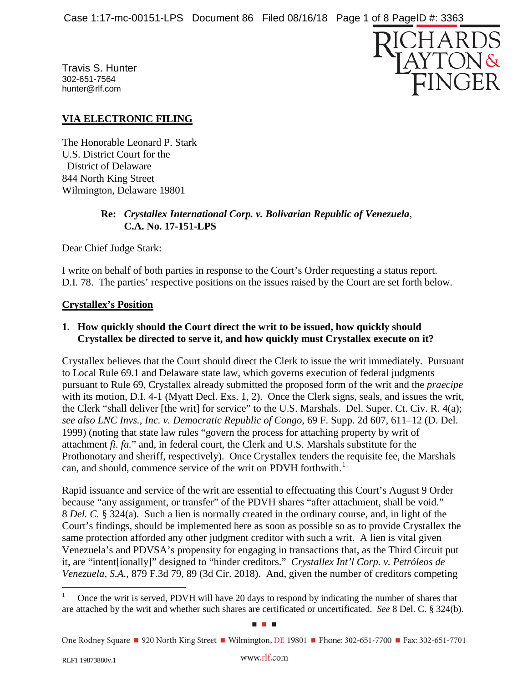Travis S. Hunter 302-651-7564 hunter@rlf.com



# **VIA ELECTRONIC FILING**

The Honorable Leonard P. Stark U.S. District Court for the District of Delaware 844 North King Street Wilmington, Delaware 19801

## **Re:** *Crystallex International Corp. v. Bolivarian Republic of Venezuela*, **C.A. No. 17-151-LPS**

Dear Chief Judge Stark:

I write on behalf of both parties in response to the Court's Order requesting a status report. D.I. 78. The parties' respective positions on the issues raised by the Court are set forth below.

## **Crystallex's Position**

## **1. How quickly should the Court direct the writ to be issued, how quickly should Crystallex be directed to serve it, and how quickly must Crystallex execute on it?**

Crystallex believes that the Court should direct the Clerk to issue the writ immediately. Pursuant to Local Rule 69.1 and Delaware state law, which governs execution of federal judgments pursuant to Rule 69, Crystallex already submitted the proposed form of the writ and the *praecipe* with its motion, D.I. 4-1 (Myatt Decl. Exs. 1, 2). Once the Clerk signs, seals, and issues the writ, the Clerk "shall deliver [the writ] for service" to the U.S. Marshals. Del. Super. Ct. Civ. R. 4(a); *see also LNC Invs., Inc. v. Democratic Republic of Congo*, 69 F. Supp. 2d 607, 611–12 (D. Del. 1999) (noting that state law rules "govern the process for attaching property by writ of attachment *fi. fa.*" and, in federal court, the Clerk and U.S. Marshals substitute for the Prothonotary and sheriff, respectively). Once Crystallex tenders the requisite fee, the Marshals can, and should, commence service of the writ on PDVH forthwith.<sup>[1](#page-0-0)</sup>

Rapid issuance and service of the writ are essential to effectuating this Court's August 9 Order because "any assignment, or transfer" of the PDVH shares "after attachment, shall be void." 8 *Del. C.* § 324(a). Such a lien is normally created in the ordinary course, and, in light of the Court's findings, should be implemented here as soon as possible so as to provide Crystallex the same protection afforded any other judgment creditor with such a writ. A lien is vital given Venezuela's and PDVSA's propensity for engaging in transactions that, as the Third Circuit put it, are "intent[ionally]" designed to "hinder creditors." *Crystallex Int'l Corp. v. Petróleos de Venezuela, S.A.*, 879 F.3d 79, 89 (3d Cir. 2018). And, given the number of creditors competing

<span id="page-0-0"></span> <sup>1</sup> Once the writ is served, PDVH will have 20 days to respond by indicating the number of shares that are attached by the writ and whether such shares are certificated or uncertificated. *See* 8 Del. C. § 324(b).

One Rodney Square ■ 920 North King Street ■ Wilmington, DE 19801 ■ Phone: 302-651-7700 ■ Fax: 302-651-7701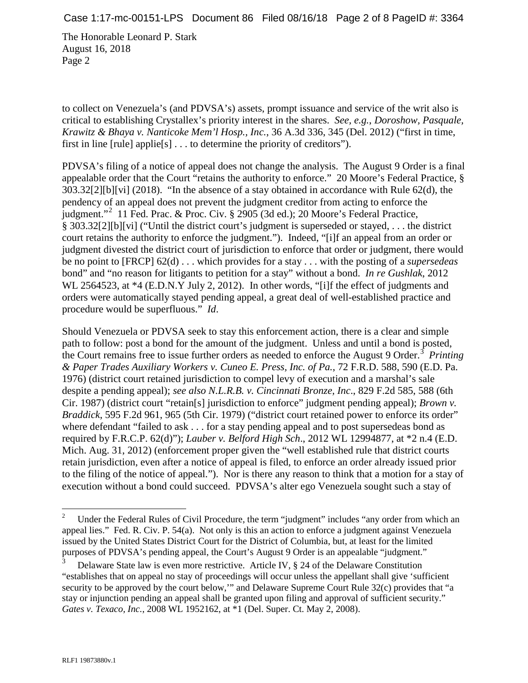to collect on Venezuela's (and PDVSA's) assets, prompt issuance and service of the writ also is critical to establishing Crystallex's priority interest in the shares. *See, e.g.*, *Doroshow, Pasquale, Krawitz & Bhaya v. Nanticoke Mem'l Hosp., Inc.*, 36 A.3d 336, 345 (Del. 2012) ("first in time, first in line [rule] applie[s] . . . to determine the priority of creditors").

PDVSA's filing of a notice of appeal does not change the analysis. The August 9 Order is a final appealable order that the Court "retains the authority to enforce." 20 Moore's Federal Practice, § 303.32[2][b][vi] (2018). "In the absence of a stay obtained in accordance with Rule 62(d), the pendency of an appeal does not prevent the judgment creditor from acting to enforce the judgment."[2](#page-1-0) 11 Fed. Prac. & Proc. Civ. § 2905 (3d ed.); 20 Moore's Federal Practice, § 303.32[2][b][vi] ("Until the district court's judgment is superseded or stayed, . . . the district court retains the authority to enforce the judgment."). Indeed, "[i]f an appeal from an order or judgment divested the district court of jurisdiction to enforce that order or judgment, there would be no point to [FRCP] 62(d) . . . which provides for a stay . . . with the posting of a *supersedeas* bond" and "no reason for litigants to petition for a stay" without a bond. *In re Gushlak*, 2012 WL 2564523, at \*4 (E.D.N.Y July 2, 2012). In other words, "[i]f the effect of judgments and orders were automatically stayed pending appeal, a great deal of well-established practice and procedure would be superfluous." *Id*.

Should Venezuela or PDVSA seek to stay this enforcement action, there is a clear and simple path to follow: post a bond for the amount of the judgment. Unless and until a bond is posted, the Court remains free to issue further orders as needed to enforce the August 9 Order.<sup>[3](#page-1-1)</sup> Printing *& Paper Trades Auxiliary Workers v. Cuneo E. Press, Inc. of Pa.*, 72 F.R.D. 588, 590 (E.D. Pa. 1976) (district court retained jurisdiction to compel levy of execution and a marshal's sale despite a pending appeal); *see also N.L.R.B. v. Cincinnati Bronze, Inc*., 829 F.2d 585, 588 (6th Cir. 1987) (district court "retain[s] jurisdiction to enforce" judgment pending appeal); *Brown v. Braddick*, 595 F.2d 961, 965 (5th Cir. 1979) ("district court retained power to enforce its order" where defendant "failed to ask . . . for a stay pending appeal and to post supersedeas bond as required by F.R.C.P. 62(d)"); *Lauber v. Belford High Sch*., 2012 WL 12994877, at \*2 n.4 (E.D. Mich. Aug. 31, 2012) (enforcement proper given the "well established rule that district courts retain jurisdiction, even after a notice of appeal is filed, to enforce an order already issued prior to the filing of the notice of appeal."). Nor is there any reason to think that a motion for a stay of execution without a bond could succeed. PDVSA's alter ego Venezuela sought such a stay of

<span id="page-1-0"></span><sup>&</sup>lt;sup>2</sup> Under the Federal Rules of Civil Procedure, the term "judgment" includes "any order from which an appeal lies." Fed. R. Civ. P. 54(a). Not only is this an action to enforce a judgment against Venezuela issued by the United States District Court for the District of Columbia, but, at least for the limited purposes of PDVSA's pending appeal, the Court's August 9 Order is an appealable "judgment."

<span id="page-1-1"></span><sup>&</sup>lt;sup>3</sup> Delaware State law is even more restrictive. Article IV,  $\S$  24 of the Delaware Constitution "establishes that on appeal no stay of proceedings will occur unless the appellant shall give 'sufficient security to be approved by the court below," and Delaware Supreme Court Rule 32(c) provides that "a stay or injunction pending an appeal shall be granted upon filing and approval of sufficient security." *Gates v. Texaco, Inc.*, 2008 WL 1952162, at \*1 (Del. Super. Ct. May 2, 2008).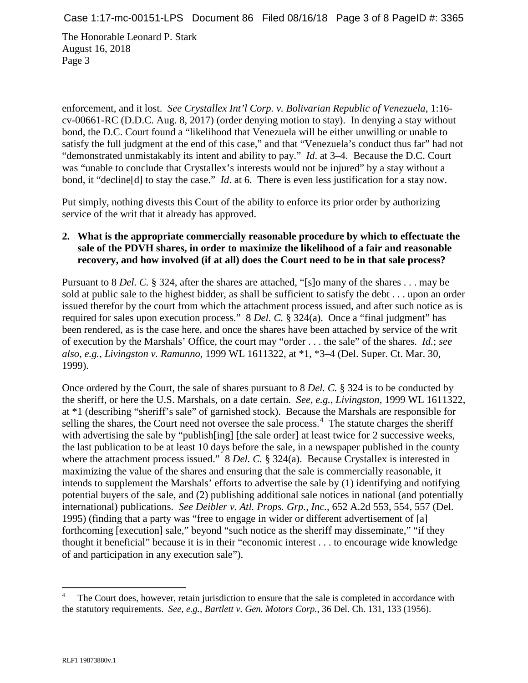enforcement, and it lost. *See Crystallex Int'l Corp. v. Bolivarian Republic of Venezuela*, 1:16 cv-00661-RC (D.D.C. Aug. 8, 2017) (order denying motion to stay). In denying a stay without bond, the D.C. Court found a "likelihood that Venezuela will be either unwilling or unable to satisfy the full judgment at the end of this case," and that "Venezuela's conduct thus far" had not "demonstrated unmistakably its intent and ability to pay." *Id*. at 3–4. Because the D.C. Court was "unable to conclude that Crystallex's interests would not be injured" by a stay without a bond, it "decline[d] to stay the case." *Id*. at 6. There is even less justification for a stay now.

Put simply, nothing divests this Court of the ability to enforce its prior order by authorizing service of the writ that it already has approved.

## **2. What is the appropriate commercially reasonable procedure by which to effectuate the sale of the PDVH shares, in order to maximize the likelihood of a fair and reasonable recovery, and how involved (if at all) does the Court need to be in that sale process?**

Pursuant to 8 *Del. C.* § 324, after the shares are attached, "[s]o many of the shares . . . may be sold at public sale to the highest bidder, as shall be sufficient to satisfy the debt . . . upon an order issued therefor by the court from which the attachment process issued, and after such notice as is required for sales upon execution process." 8 *Del. C.* § 324(a). Once a "final judgment" has been rendered, as is the case here, and once the shares have been attached by service of the writ of execution by the Marshals' Office, the court may "order . . . the sale" of the shares. *Id.*; *see also, e.g.*, *Livingston v. Ramunno*, 1999 WL 1611322, at \*1, \*3–4 (Del. Super. Ct. Mar. 30, 1999).

Once ordered by the Court, the sale of shares pursuant to 8 *Del. C.* § 324 is to be conducted by the sheriff, or here the U.S. Marshals, on a date certain. *See, e.g.*, *Livingston*, 1999 WL 1611322, at \*1 (describing "sheriff's sale" of garnished stock). Because the Marshals are responsible for selling the shares, the Court need not oversee the sale process.<sup>[4](#page-2-0)</sup> The statute charges the sheriff with advertising the sale by "publish[ing] [the sale order] at least twice for 2 successive weeks, the last publication to be at least 10 days before the sale, in a newspaper published in the county where the attachment process issued." 8 *Del. C.* § 324(a). Because Crystallex is interested in maximizing the value of the shares and ensuring that the sale is commercially reasonable, it intends to supplement the Marshals' efforts to advertise the sale by (1) identifying and notifying potential buyers of the sale, and (2) publishing additional sale notices in national (and potentially international) publications. *See Deibler v. Atl. Props. Grp., Inc.*, 652 A.2d 553, 554, 557 (Del. 1995) (finding that a party was "free to engage in wider or different advertisement of [a] forthcoming [execution] sale," beyond "such notice as the sheriff may disseminate," "if they thought it beneficial" because it is in their "economic interest . . . to encourage wide knowledge of and participation in any execution sale").

<span id="page-2-0"></span>The Court does, however, retain jurisdiction to ensure that the sale is completed in accordance with the statutory requirements. *See, e.g.*, *Bartlett v. Gen. Motors Corp.*, 36 Del. Ch. 131, 133 (1956).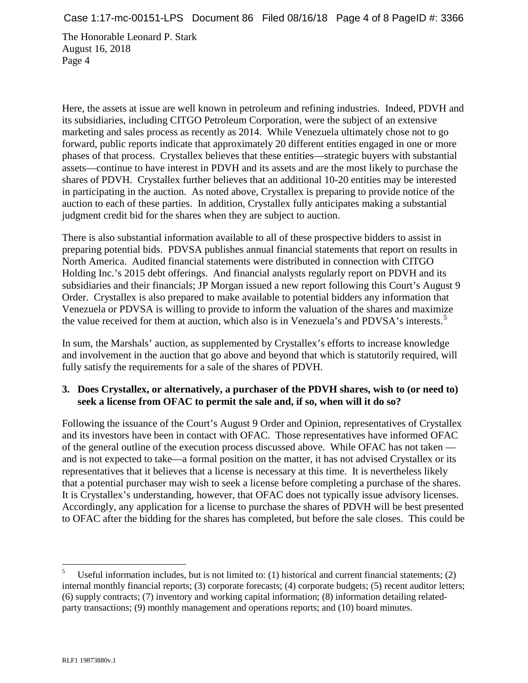Here, the assets at issue are well known in petroleum and refining industries. Indeed, PDVH and its subsidiaries, including CITGO Petroleum Corporation, were the subject of an extensive marketing and sales process as recently as 2014. While Venezuela ultimately chose not to go forward, public reports indicate that approximately 20 different entities engaged in one or more phases of that process. Crystallex believes that these entities—strategic buyers with substantial assets—continue to have interest in PDVH and its assets and are the most likely to purchase the shares of PDVH. Crystallex further believes that an additional 10-20 entities may be interested in participating in the auction. As noted above, Crystallex is preparing to provide notice of the auction to each of these parties. In addition, Crystallex fully anticipates making a substantial judgment credit bid for the shares when they are subject to auction.

There is also substantial information available to all of these prospective bidders to assist in preparing potential bids. PDVSA publishes annual financial statements that report on results in North America. Audited financial statements were distributed in connection with CITGO Holding Inc.'s 2015 debt offerings. And financial analysts regularly report on PDVH and its subsidiaries and their financials; JP Morgan issued a new report following this Court's August 9 Order. Crystallex is also prepared to make available to potential bidders any information that Venezuela or PDVSA is willing to provide to inform the valuation of the shares and maximize the value received for them at auction, which also is in Venezuela's and PDVSA's interests.<sup>[5](#page-3-0)</sup>

In sum, the Marshals' auction, as supplemented by Crystallex's efforts to increase knowledge and involvement in the auction that go above and beyond that which is statutorily required, will fully satisfy the requirements for a sale of the shares of PDVH.

## **3. Does Crystallex, or alternatively, a purchaser of the PDVH shares, wish to (or need to) seek a license from OFAC to permit the sale and, if so, when will it do so?**

Following the issuance of the Court's August 9 Order and Opinion, representatives of Crystallex and its investors have been in contact with OFAC. Those representatives have informed OFAC of the general outline of the execution process discussed above. While OFAC has not taken and is not expected to take—a formal position on the matter, it has not advised Crystallex or its representatives that it believes that a license is necessary at this time. It is nevertheless likely that a potential purchaser may wish to seek a license before completing a purchase of the shares. It is Crystallex's understanding, however, that OFAC does not typically issue advisory licenses. Accordingly, any application for a license to purchase the shares of PDVH will be best presented to OFAC after the bidding for the shares has completed, but before the sale closes. This could be

<span id="page-3-0"></span>Useful information includes, but is not limited to:  $(1)$  historical and current financial statements;  $(2)$ internal monthly financial reports; (3) corporate forecasts; (4) corporate budgets; (5) recent auditor letters; (6) supply contracts; (7) inventory and working capital information; (8) information detailing relatedparty transactions; (9) monthly management and operations reports; and (10) board minutes.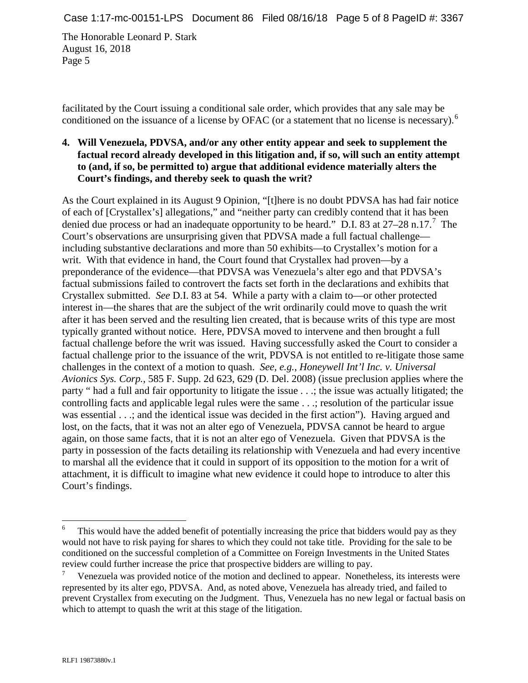facilitated by the Court issuing a conditional sale order, which provides that any sale may be conditioned on the issuance of a license by OFAC (or a statement that no license is necessary).<sup>[6](#page-4-0)</sup>

## **4. Will Venezuela, PDVSA, and/or any other entity appear and seek to supplement the factual record already developed in this litigation and, if so, will such an entity attempt to (and, if so, be permitted to) argue that additional evidence materially alters the Court's findings, and thereby seek to quash the writ?**

As the Court explained in its August 9 Opinion, "[t]here is no doubt PDVSA has had fair notice of each of [Crystallex's] allegations," and "neither party can credibly contend that it has been denied due process or had an inadequate opportunity to be heard." D.I. 83 at 2[7](#page-4-1)–28 n.17.<sup>7</sup> The Court's observations are unsurprising given that PDVSA made a full factual challenge including substantive declarations and more than 50 exhibits—to Crystallex's motion for a writ. With that evidence in hand, the Court found that Crystallex had proven—by a preponderance of the evidence—that PDVSA was Venezuela's alter ego and that PDVSA's factual submissions failed to controvert the facts set forth in the declarations and exhibits that Crystallex submitted. *See* D.I. 83 at 54. While a party with a claim to—or other protected interest in—the shares that are the subject of the writ ordinarily could move to quash the writ after it has been served and the resulting lien created, that is because writs of this type are most typically granted without notice. Here, PDVSA moved to intervene and then brought a full factual challenge before the writ was issued. Having successfully asked the Court to consider a factual challenge prior to the issuance of the writ, PDVSA is not entitled to re-litigate those same challenges in the context of a motion to quash. *See, e.g.*, *Honeywell Int'l Inc. v. Universal Avionics Sys. Corp.*, 585 F. Supp. 2d 623, 629 (D. Del. 2008) (issue preclusion applies where the party " had a full and fair opportunity to litigate the issue . . .; the issue was actually litigated; the controlling facts and applicable legal rules were the same . . .; resolution of the particular issue was essential . . .; and the identical issue was decided in the first action"). Having argued and lost, on the facts, that it was not an alter ego of Venezuela, PDVSA cannot be heard to argue again, on those same facts, that it is not an alter ego of Venezuela. Given that PDVSA is the party in possession of the facts detailing its relationship with Venezuela and had every incentive to marshal all the evidence that it could in support of its opposition to the motion for a writ of attachment, it is difficult to imagine what new evidence it could hope to introduce to alter this Court's findings.

<span id="page-4-0"></span>This would have the added benefit of potentially increasing the price that bidders would pay as they would not have to risk paying for shares to which they could not take title. Providing for the sale to be conditioned on the successful completion of a Committee on Foreign Investments in the United States review could further increase the price that prospective bidders are willing to pay.

<span id="page-4-1"></span><sup>7</sup> Venezuela was provided notice of the motion and declined to appear. Nonetheless, its interests were represented by its alter ego, PDVSA. And, as noted above, Venezuela has already tried, and failed to prevent Crystallex from executing on the Judgment. Thus, Venezuela has no new legal or factual basis on which to attempt to quash the writ at this stage of the litigation.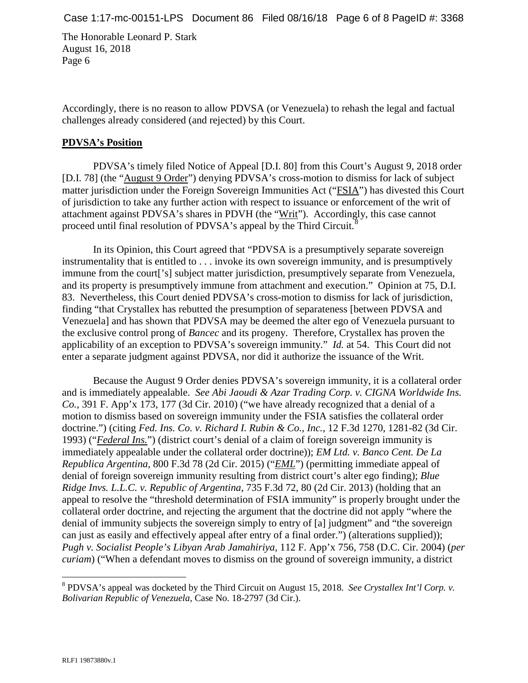Accordingly, there is no reason to allow PDVSA (or Venezuela) to rehash the legal and factual challenges already considered (and rejected) by this Court.

#### **PDVSA's Position**

PDVSA's timely filed Notice of Appeal [D.I. 80] from this Court's August 9, 2018 order [D.I. 78] (the "August 9 Order") denying PDVSA's cross-motion to dismiss for lack of subject matter jurisdiction under the Foreign Sovereign Immunities Act ("FSIA") has divested this Court of jurisdiction to take any further action with respect to issuance or enforcement of the writ of attachment against PDVSA's shares in PDVH (the "Writ"). Accordingly, this case cannot proceed until final resolution of PDVSA's appeal by the Third Circuit.<sup>[8](#page-5-0)</sup>

In its Opinion, this Court agreed that "PDVSA is a presumptively separate sovereign instrumentality that is entitled to . . . invoke its own sovereign immunity, and is presumptively immune from the court['s] subject matter jurisdiction, presumptively separate from Venezuela, and its property is presumptively immune from attachment and execution." Opinion at 75, D.I. 83. Nevertheless, this Court denied PDVSA's cross-motion to dismiss for lack of jurisdiction, finding "that Crystallex has rebutted the presumption of separateness [between PDVSA and Venezuela] and has shown that PDVSA may be deemed the alter ego of Venezuela pursuant to the exclusive control prong of *Bancec* and its progeny. Therefore, Crystallex has proven the applicability of an exception to PDVSA's sovereign immunity." *Id.* at 54. This Court did not enter a separate judgment against PDVSA, nor did it authorize the issuance of the Writ.

Because the August 9 Order denies PDVSA's sovereign immunity, it is a collateral order and is immediately appealable. *See Abi Jaoudi & Azar Trading Corp. v. CIGNA Worldwide Ins. Co.*, 391 F. App'x 173, 177 (3d Cir. 2010) ("we have already recognized that a denial of a motion to dismiss based on sovereign immunity under the FSIA satisfies the collateral order doctrine.") (citing *Fed. Ins. Co. v. Richard I. Rubin & Co., Inc.*, 12 F.3d 1270, 1281-82 (3d Cir. 1993) ("*Federal Ins.*") (district court's denial of a claim of foreign sovereign immunity is immediately appealable under the collateral order doctrine)); *EM Ltd. v. Banco Cent. De La Republica Argentina*, 800 F.3d 78 (2d Cir. 2015) ("*EML*") (permitting immediate appeal of denial of foreign sovereign immunity resulting from district court's alter ego finding); *Blue Ridge Invs. L.L.C. v. Republic of Argentina*, 735 F.3d 72, 80 (2d Cir. 2013) (holding that an appeal to resolve the "threshold determination of FSIA immunity" is properly brought under the collateral order doctrine, and rejecting the argument that the doctrine did not apply "where the denial of immunity subjects the sovereign simply to entry of [a] judgment" and "the sovereign can just as easily and effectively appeal after entry of a final order.") (alterations supplied)); *Pugh v. Socialist People's Libyan Arab Jamahiriya*, 112 F. App'x 756, 758 (D.C. Cir. 2004) (*per curiam*) ("When a defendant moves to dismiss on the ground of sovereign immunity, a district

<span id="page-5-0"></span> <sup>8</sup> PDVSA's appeal was docketed by the Third Circuit on August 15, 2018. *See Crystallex Int'l Corp. v. Bolivarian Republic of Venezuela*, Case No. 18-2797 (3d Cir.).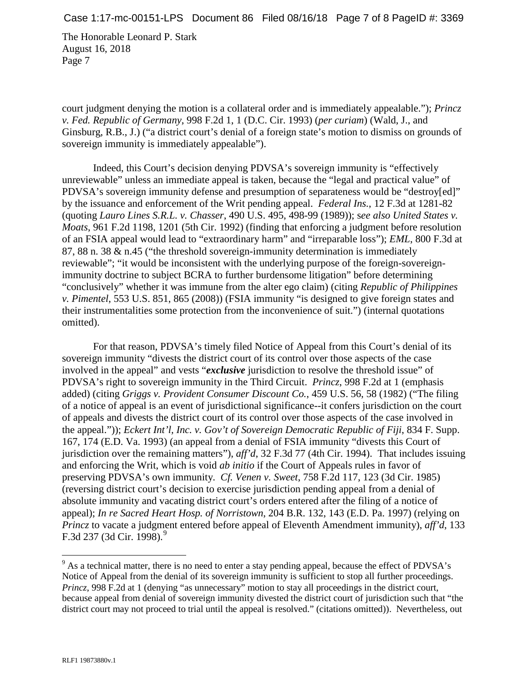court judgment denying the motion is a collateral order and is immediately appealable."); *Princz v. Fed. Republic of Germany*, 998 F.2d 1, 1 (D.C. Cir. 1993) (*per curiam*) (Wald, J., and Ginsburg, R.B., J.) ("a district court's denial of a foreign state's motion to dismiss on grounds of sovereign immunity is immediately appealable").

Indeed, this Court's decision denying PDVSA's sovereign immunity is "effectively unreviewable" unless an immediate appeal is taken, because the "legal and practical value" of PDVSA's sovereign immunity defense and presumption of separateness would be "destroy[ed]" by the issuance and enforcement of the Writ pending appeal. *Federal Ins.*, 12 F.3d at 1281-82 (quoting *Lauro Lines S.R.L. v. Chasser*, 490 U.S. 495, 498-99 (1989)); s*ee also United States v. Moats*, 961 F.2d 1198, 1201 (5th Cir. 1992) (finding that enforcing a judgment before resolution of an FSIA appeal would lead to "extraordinary harm" and "irreparable loss"); *EML*, 800 F.3d at 87, 88 n. 38 & n.45 ("the threshold sovereign-immunity determination is immediately reviewable"; "it would be inconsistent with the underlying purpose of the foreign-sovereignimmunity doctrine to subject BCRA to further burdensome litigation" before determining "conclusively" whether it was immune from the alter ego claim) (citing *Republic of Philippines v. Pimentel*, 553 U.S. 851, 865 (2008)) (FSIA immunity "is designed to give foreign states and their instrumentalities some protection from the inconvenience of suit.") (internal quotations omitted).

For that reason, PDVSA's timely filed Notice of Appeal from this Court's denial of its sovereign immunity "divests the district court of its control over those aspects of the case involved in the appeal" and vests "*exclusive* jurisdiction to resolve the threshold issue" of PDVSA's right to sovereign immunity in the Third Circuit. *Princz*, 998 F.2d at 1 (emphasis added) (citing *Griggs v. Provident Consumer Discount Co.*, 459 U.S. 56, 58 (1982) ("The filing of a notice of appeal is an event of jurisdictional significance--it confers jurisdiction on the court of appeals and divests the district court of its control over those aspects of the case involved in the appeal.")); *Eckert Int'l, Inc. v. Gov't of Sovereign Democratic Republic of Fiji*, 834 F. Supp. 167, 174 (E.D. Va. 1993) (an appeal from a denial of FSIA immunity "divests this Court of jurisdiction over the remaining matters"), *aff'd*, 32 F.3d 77 (4th Cir. 1994). That includes issuing and enforcing the Writ, which is void *ab initio* if the Court of Appeals rules in favor of preserving PDVSA's own immunity. *Cf. Venen v. Sweet*, 758 F.2d 117, 123 (3d Cir. 1985) (reversing district court's decision to exercise jurisdiction pending appeal from a denial of absolute immunity and vacating district court's orders entered after the filing of a notice of appeal); *In re Sacred Heart Hosp. of Norristown*, 204 B.R. 132, 143 (E.D. Pa. 1997) (relying on *Princz* to vacate a judgment entered before appeal of Eleventh Amendment immunity), *aff'd*, 133 F.3d 237 (3d Cir. 1[9](#page-6-0)98).<sup>9</sup>

<span id="page-6-0"></span> $9<sup>9</sup>$  As a technical matter, there is no need to enter a stay pending appeal, because the effect of PDVSA's Notice of Appeal from the denial of its sovereign immunity is sufficient to stop all further proceedings. *Princz*, 998 F.2d at 1 (denying "as unnecessary" motion to stay all proceedings in the district court, because appeal from denial of sovereign immunity divested the district court of jurisdiction such that "the district court may not proceed to trial until the appeal is resolved." (citations omitted)). Nevertheless, out